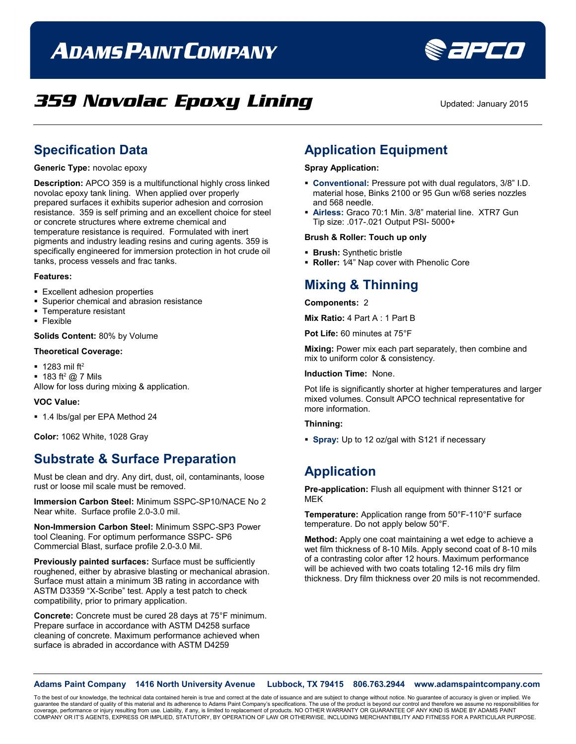# **ADAMS PAINT COMPANY**



## **359 Novolac Epoxy Lining** Updated: January 2015

### **Specification Data**

**Generic Type:** novolac epoxy

**Description:** APCO 359 is a multifunctional highly cross linked novolac epoxy tank lining. When applied over properly prepared surfaces it exhibits superior adhesion and corrosion resistance. 359 is self priming and an excellent choice for steel or concrete structures where extreme chemical and temperature resistance is required. Formulated with inert pigments and industry leading resins and curing agents. 359 is specifically engineered for immersion protection in hot crude oil tanks, process vessels and frac tanks.

#### **Features:**

- **Excellent adhesion properties**
- **Superior chemical and abrasion resistance**
- **Temperature resistant**
- **Flexible**

#### **Solids Content:** 80% by Volume

#### **Theoretical Coverage:**

- $-1283$  mil ft<sup>2</sup>
- $-183$  ft<sup>2</sup> @ 7 Mils
- Allow for loss during mixing & application.

#### **VOC Value:**

1.4 lbs/gal per EPA Method 24

**Color:** 1062 White, 1028 Gray

### **Substrate & Surface Preparation**

Must be clean and dry. Any dirt, dust, oil, contaminants, loose rust or loose mil scale must be removed.

**Immersion Carbon Steel:** Minimum SSPC-SP10/NACE No 2 Near white. Surface profile 2.0-3.0 mil.

**Non-Immersion Carbon Steel:** Minimum SSPC-SP3 Power tool Cleaning. For optimum performance SSPC- SP6 Commercial Blast, surface profile 2.0-3.0 Mil.

**Previously painted surfaces:** Surface must be sufficiently roughened, either by abrasive blasting or mechanical abrasion. Surface must attain a minimum 3B rating in accordance with ASTM D3359 "X-Scribe" test. Apply a test patch to check compatibility, prior to primary application.

**Concrete:** Concrete must be cured 28 days at 75°F minimum. Prepare surface in accordance with ASTM D4258 surface cleaning of concrete. Maximum performance achieved when surface is abraded in accordance with ASTM D4259

### **Application Equipment**

#### **Spray Application:**

- **Conventional:** Pressure pot with dual regulators, 3/8" I.D. material hose, Binks 2100 or 95 Gun w/68 series nozzles and 568 needle.
- **Airless:** Graco 70:1 Min. 3/8" material line. XTR7 Gun Tip size: .017-.021 Output PSI- 5000+

#### **Brush & Roller: Touch up only**

- **Brush:** Synthetic bristle
- **Roller:** 1⁄4" Nap cover with Phenolic Core

### **Mixing & Thinning**

#### **Components:** 2

**Mix Ratio:** 4 Part A : 1 Part B

**Pot Life:** 60 minutes at 75°F

**Mixing:** Power mix each part separately, then combine and mix to uniform color & consistency.

#### **Induction Time:** None.

Pot life is significantly shorter at higher temperatures and larger mixed volumes. Consult APCO technical representative for more information.

#### **Thinning:**

**Spray:** Up to 12 oz/gal with S121 if necessary

### **Application**

**Pre-application:** Flush all equipment with thinner S121 or MEK

**Temperature:** Application range from 50°F-110°F surface temperature. Do not apply below 50°F.

**Method:** Apply one coat maintaining a wet edge to achieve a wet film thickness of 8-10 Mils. Apply second coat of 8-10 mils of a contrasting color after 12 hours. Maximum performance will be achieved with two coats totaling 12-16 mils dry film thickness. Dry film thickness over 20 mils is not recommended.

**Adams Paint Company 1416 North University Avenue Lubbock, TX 79415 806.763.2944 www.adamspaintcompany.com**

To the best of our knowledge, the technical data contained herein is true and correct at the date of issuance and are subject to change without notice. No guarantee of accuracy is given or implied. We<br>quarantee the standar guarantee the standard of quality of this material and its adherence to Adams Paint Company's specifications. The use of the product is beyond our control and therefore we as coverage, performance or injury resulting from use. Liability, if any, is limited to replacement of products. NO OTHER WARRANTY OR GUARANTEE OF ANY KIND IS MADE BY ADAMS PAINT<br>COMPANY OR IT'S AGENTS, EXPRESS OR IMPLIED, ST